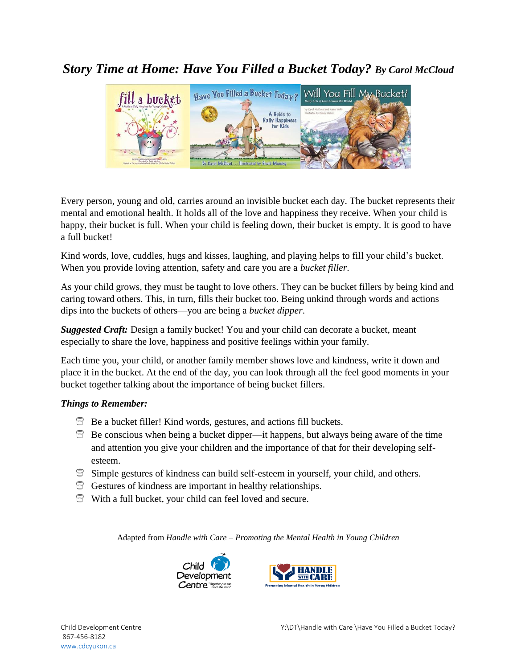## *Story Time at Home: Have You Filled a Bucket Today? By Carol McCloud*



Every person, young and old, carries around an invisible bucket each day. The bucket represents their mental and emotional health. It holds all of the love and happiness they receive. When your child is happy, their bucket is full. When your child is feeling down, their bucket is empty. It is good to have a full bucket!

Kind words, love, cuddles, hugs and kisses, laughing, and playing helps to fill your child's bucket. When you provide loving attention, safety and care you are a *bucket filler*.

As your child grows, they must be taught to love others. They can be bucket fillers by being kind and caring toward others. This, in turn, fills their bucket too. Being unkind through words and actions dips into the buckets of others—you are being a *bucket dipper*.

*Suggested Craft:* Design a family bucket! You and your child can decorate a bucket, meant especially to share the love, happiness and positive feelings within your family.

Each time you, your child, or another family member shows love and kindness, write it down and place it in the bucket. At the end of the day, you can look through all the feel good moments in your bucket together talking about the importance of being bucket fillers.

## *Things to Remember:*

- $\Theta$  Be a bucket filler! Kind words, gestures, and actions fill buckets.
- $\Box$  Be conscious when being a bucket dipper—it happens, but always being aware of the time and attention you give your children and the importance of that for their developing selfesteem.
- $\Box$  Simple gestures of kindness can build self-esteem in yourself, your child, and others.
- Gestures of kindness are important in healthy relationships.
- With a full bucket, your child can feel loved and secure.

Adapted from *Handle with Care – Promoting the Mental Health in Young Children*